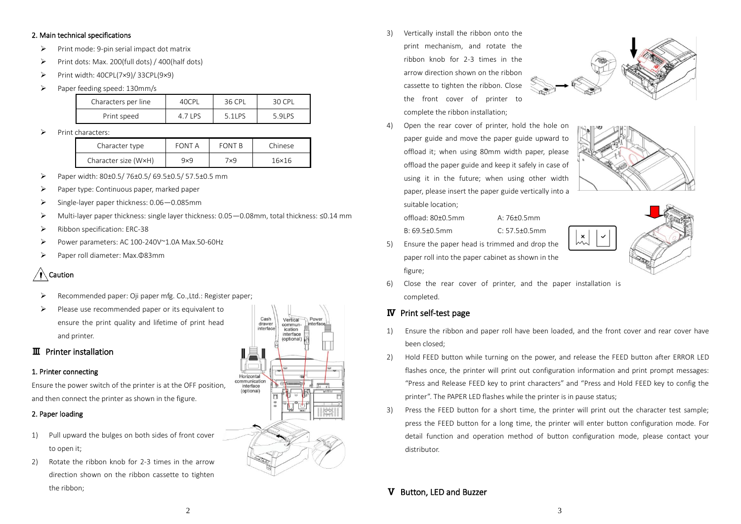#### 2. Main technical specifications

- ➢ Print mode: 9-pin serial impact dot matrix
- ➢ Print dots: Max. 200(full dots) / 400(half dots)
- ➢ Print width: 40CPL(7×9)/ 33CPL(9×9)
- ➢ Paper feeding speed: 130mm/s

| Characters per line | 40CPI | 36 CPL | 30 CPI |
|---------------------|-------|--------|--------|
| Print speed         |       | 51P5   | 59P5   |

➢ Print characters:

| Character type       | FONT A     | <b>FONT B</b> | Chinese |
|----------------------|------------|---------------|---------|
| Character size (WxH) | $9\times9$ | 7x9.          | 16×16   |

- ➢ Paper width: 80±0.5/ 76±0.5/ 69.5±0.5/ 57.5±0.5 mm
- Paper type: Continuous paper, marked paper
- ➢ Single-layer paper thickness: 0.06—0.085mm
- ➢ Multi-layer paper thickness: single layer thickness: 0.05—0.08mm, total thickness: ≤0.14 mm
- ➢ Ribbon specification: ERC-38
- ➢ Power parameters: AC 100-240V~1.0A Max.50-60Hz
- ➢ Paper roll diameter: Max.Φ83mm

# Caution

- Recommended paper: Oji paper mfg. Co.,Ltd.: Register paper;
- Please use recommended paper or its equivalent to ensure the print quality and lifetime of print head and printer.

## Ⅲ Printer installation

### 1. Printer connecting

Ensure the power switch of the printer is at the OFF position, and then connect the printer as shown in the figure.

## 2. Paper loading

- 1) Pull upward the bulges on both sides of front cover to open it;
- 2) Rotate the ribbon knob for 2-3 times in the arrow direction shown on the ribbon cassette to tighten the ribbon;



3) Vertically install the ribbon onto the print mechanism, and rotate the ribbon knob for 2-3 times in the arrow direction shown on the ribbon cassette to tighten the ribbon. Close the front cover of printer to complete the ribbon installation;



4) Open the rear cover of printer, hold the hole on paper guide and move the paper guide upward to offload it; when using 80mm width paper, please offload the paper guide and keep it safely in case of using it in the future; when using other width paper, please insert the paper guide vertically into a suitable location;



B: 69.5±0.5mm C: 57.5±0.5mm

5) Ensure the paper head is trimmed and drop the paper roll into the paper cabinet as shown in the figure;



6) Close the rear cover of printer, and the paper installation is completed.

## Ⅳ Print self-test page

- 1) Ensure the ribbon and paper roll have been loaded, and the front cover and rear cover have been closed;
- 2) Hold FEED button while turning on the power, and release the FEED button after ERROR LED flashes once, the printer will print out configuration information and print prompt messages: "Press and Release FEED key to print characters" and "Press and Hold FEED key to config the printer". The PAPER LED flashes while the printer is in pause status;
- 3) Press the FEED button for a short time, the printer will print out the character test sample; press the FEED button for a long time, the printer will enter button configuration mode. For detail function and operation method of button configuration mode, please contact your distributor.

### Ⅴ Button, LED and Buzzer

 $\frac{2}{3}$